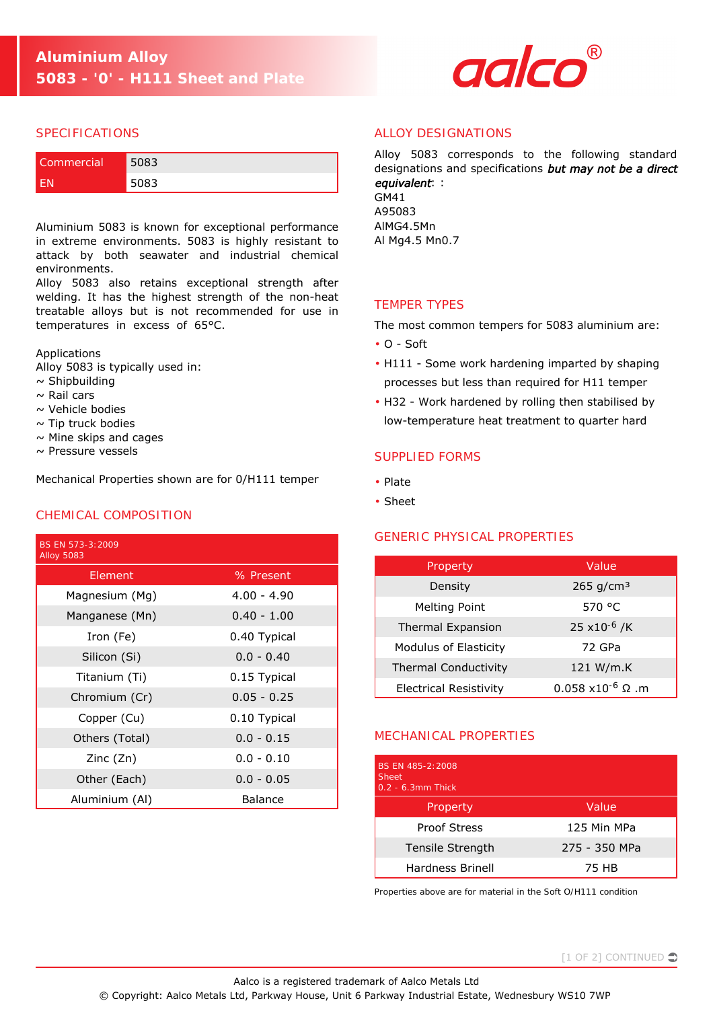

#### SPECIFICATIONS

| Commercial | 5083 |
|------------|------|
|            | 5083 |

Aluminium 5083 is known for exceptional performance in extreme environments. 5083 is highly resistant to attack by both seawater and industrial chemical environments.

Alloy 5083 also retains exceptional strength after welding. It has the highest strength of the non-heat treatable alloys but is not recommended for use in temperatures in excess of 65°C.

Applications

Alloy 5083 is typically used in:

- $\sim$  Shipbuilding
- $\sim$  Rail cars
- $\sim$  Vehicle bodies
- $\sim$  Tip truck bodies
- $\sim$  Mine skips and cages
- $\sim$  Pressure vessels

Mechanical Properties shown are for 0/H111 temper

## CHEMICAL COMPOSITION

| BS EN 573-3:2009<br><b>Alloy 5083</b> |               |
|---------------------------------------|---------------|
| Element                               | % Present     |
| Magnesium (Mg)                        | $4.00 - 4.90$ |
| Manganese (Mn)                        | $0.40 - 1.00$ |
| Iron (Fe)                             | 0.40 Typical  |
| Silicon (Si)                          | $0.0 - 0.40$  |
| Titanium (Ti)                         | 0.15 Typical  |
| Chromium (Cr)                         | $0.05 - 0.25$ |
| Copper (Cu)                           | 0.10 Typical  |
| Others (Total)                        | $0.0 - 0.15$  |
| Zinc(Zn)                              | $0.0 - 0.10$  |
| Other (Each)                          | $0.0 - 0.05$  |
| Aluminium (Al)                        | Balance       |

# ALLOY DESIGNATIONS

Alloy 5083 corresponds to the following standard designations and specifications but may not be a direct equivalent: : GM41

A95083 AlMG4.5Mn Al Mg4.5 Mn0.7

#### TEMPER TYPES

The most common tempers for 5083 aluminium are:

- O Soft
- H111 Some work hardening imparted by shaping processes but less than required for H11 temper
- H32 Work hardened by rolling then stabilised by low-temperature heat treatment to quarter hard

## SUPPLIED FORMS

- Plate
- Sheet

## GENERIC PHYSICAL PROPERTIES

| Property                      | Value                            |
|-------------------------------|----------------------------------|
| Density                       | $265$ g/cm <sup>3</sup>          |
| Melting Point                 | 570 °C                           |
| Thermal Expansion             | 25 $x10^{-6}$ /K                 |
| Modulus of Elasticity         | 72 GPa                           |
| <b>Thermal Conductivity</b>   | 121 W/m.K                        |
| <b>Electrical Resistivity</b> | $0.058 \times 10^{-6} \Omega$ .m |

## MECHANICAL PROPERTIES

| BS FN 485-2:2008<br><b>Sheet</b><br>$0.2 - 6.3$ mm Thick |               |
|----------------------------------------------------------|---------------|
| Property                                                 | Value         |
| <b>Proof Stress</b>                                      | 125 Min MPa   |
| Tensile Strength                                         | 275 - 350 MPa |
| Hardness Brinell                                         | 75 HB         |

*Properties above are for material in the Soft O/H111 condition*